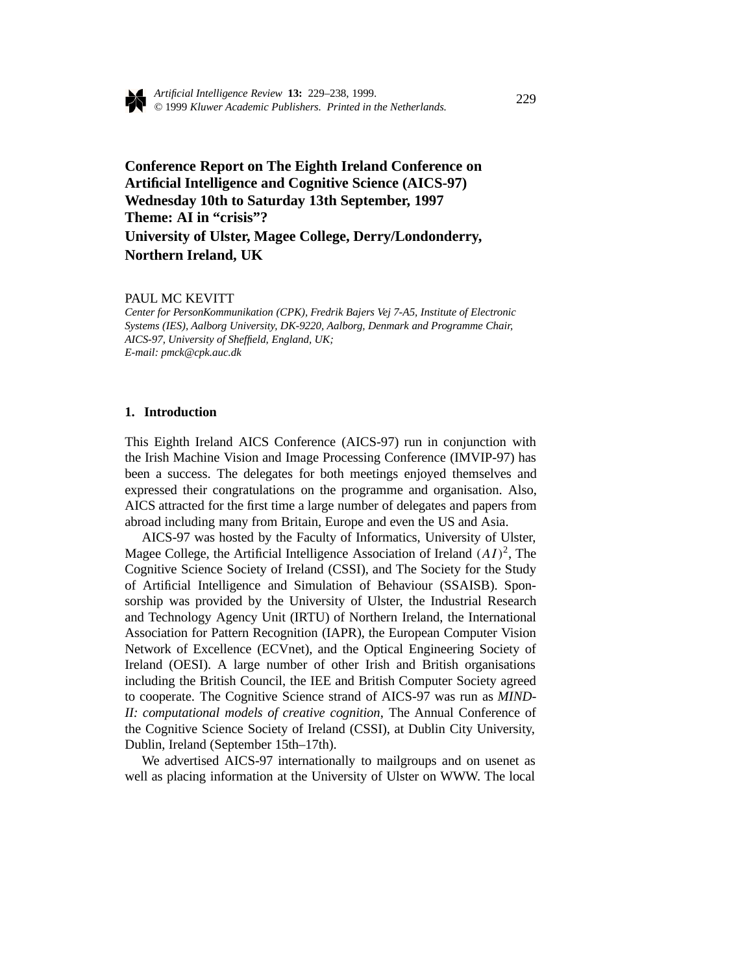# **Conference Report on The Eighth Ireland Conference on Artificial Intelligence and Cognitive Science (AICS-97) Wednesday 10th to Saturday 13th September, 1997 Theme: AI in "crisis"? University of Ulster, Magee College, Derry/Londonderry, Northern Ireland, UK**

#### PAUL MC KEVITT

*Center for PersonKommunikation (CPK), Fredrik Bajers Vej 7-A5, Institute of Electronic Systems (IES), Aalborg University, DK-9220, Aalborg, Denmark and Programme Chair, AICS-97, University of Sheffield, England, UK; E-mail: pmck@cpk.auc.dk*

#### **1. Introduction**

This Eighth Ireland AICS Conference (AICS-97) run in conjunction with the Irish Machine Vision and Image Processing Conference (IMVIP-97) has been a success. The delegates for both meetings enjoyed themselves and expressed their congratulations on the programme and organisation. Also, AICS attracted for the first time a large number of delegates and papers from abroad including many from Britain, Europe and even the US and Asia.

AICS-97 was hosted by the Faculty of Informatics, University of Ulster, Magee College, the Artificial Intelligence Association of Ireland  $(AI)^2$ , The Cognitive Science Society of Ireland (CSSI), and The Society for the Study of Artificial Intelligence and Simulation of Behaviour (SSAISB). Sponsorship was provided by the University of Ulster, the Industrial Research and Technology Agency Unit (IRTU) of Northern Ireland, the International Association for Pattern Recognition (IAPR), the European Computer Vision Network of Excellence (ECVnet), and the Optical Engineering Society of Ireland (OESI). A large number of other Irish and British organisations including the British Council, the IEE and British Computer Society agreed to cooperate. The Cognitive Science strand of AICS-97 was run as *MIND-II: computational models of creative cognition*, The Annual Conference of the Cognitive Science Society of Ireland (CSSI), at Dublin City University, Dublin, Ireland (September 15th–17th).

We advertised AICS-97 internationally to mailgroups and on usenet as well as placing information at the University of Ulster on WWW. The local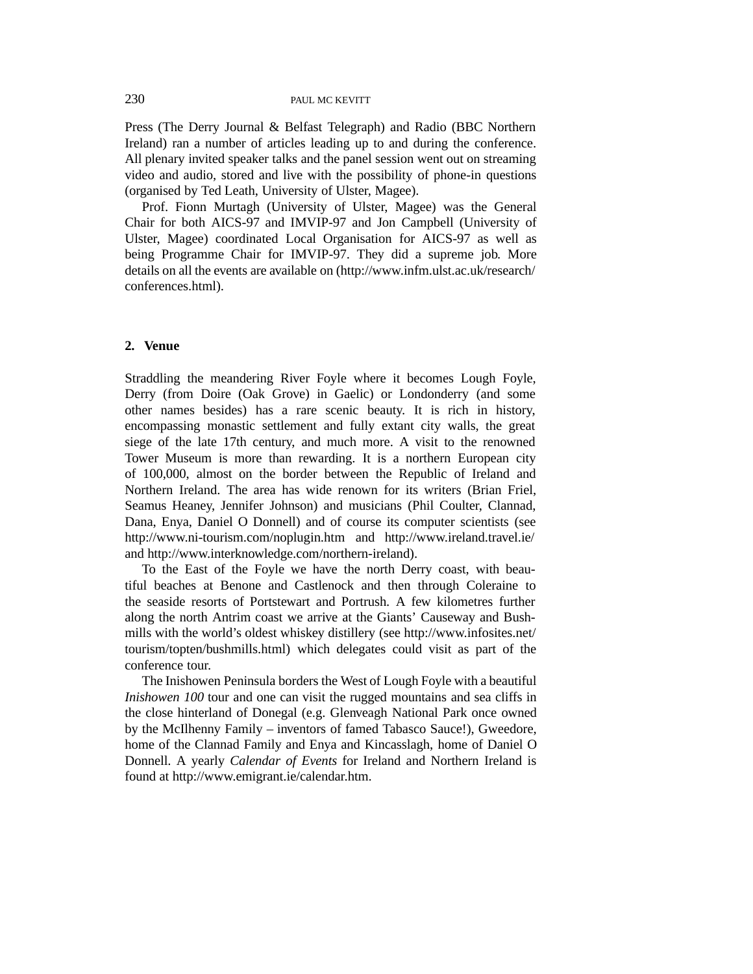230 PAUL MC KEVITT

Press (The Derry Journal & Belfast Telegraph) and Radio (BBC Northern Ireland) ran a number of articles leading up to and during the conference. All plenary invited speaker talks and the panel session went out on streaming video and audio, stored and live with the possibility of phone-in questions (organised by Ted Leath, University of Ulster, Magee).

Prof. Fionn Murtagh (University of Ulster, Magee) was the General Chair for both AICS-97 and IMVIP-97 and Jon Campbell (University of Ulster, Magee) coordinated Local Organisation for AICS-97 as well as being Programme Chair for IMVIP-97. They did a supreme job. More details on all the events are available on (http://www.infm.ulst.ac.uk/research/ conferences.html).

# **2. Venue**

Straddling the meandering River Foyle where it becomes Lough Foyle, Derry (from Doire (Oak Grove) in Gaelic) or Londonderry (and some other names besides) has a rare scenic beauty. It is rich in history, encompassing monastic settlement and fully extant city walls, the great siege of the late 17th century, and much more. A visit to the renowned Tower Museum is more than rewarding. It is a northern European city of 100,000, almost on the border between the Republic of Ireland and Northern Ireland. The area has wide renown for its writers (Brian Friel, Seamus Heaney, Jennifer Johnson) and musicians (Phil Coulter, Clannad, Dana, Enya, Daniel O Donnell) and of course its computer scientists (see http://www.ni-tourism.com/noplugin.htm and http://www.ireland.travel.ie/ and http://www.interknowledge.com/northern-ireland).

To the East of the Foyle we have the north Derry coast, with beautiful beaches at Benone and Castlenock and then through Coleraine to the seaside resorts of Portstewart and Portrush. A few kilometres further along the north Antrim coast we arrive at the Giants' Causeway and Bushmills with the world's oldest whiskey distillery (see http://www.infosites.net/ tourism/topten/bushmills.html) which delegates could visit as part of the conference tour.

The Inishowen Peninsula borders the West of Lough Foyle with a beautiful *Inishowen 100* tour and one can visit the rugged mountains and sea cliffs in the close hinterland of Donegal (e.g. Glenveagh National Park once owned by the McIlhenny Family – inventors of famed Tabasco Sauce!), Gweedore, home of the Clannad Family and Enya and Kincasslagh, home of Daniel O Donnell. A yearly *Calendar of Events* for Ireland and Northern Ireland is found at http://www.emigrant.ie/calendar.htm.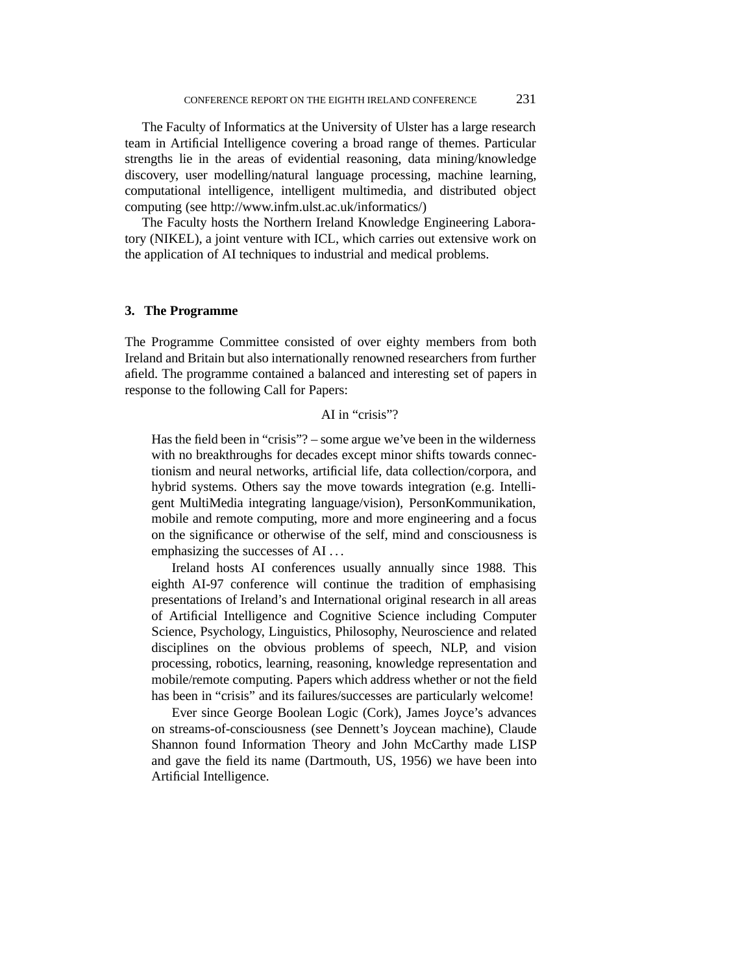The Faculty of Informatics at the University of Ulster has a large research team in Artificial Intelligence covering a broad range of themes. Particular strengths lie in the areas of evidential reasoning, data mining/knowledge discovery, user modelling/natural language processing, machine learning, computational intelligence, intelligent multimedia, and distributed object computing (see http://www.infm.ulst.ac.uk/informatics/)

The Faculty hosts the Northern Ireland Knowledge Engineering Laboratory (NIKEL), a joint venture with ICL, which carries out extensive work on the application of AI techniques to industrial and medical problems.

#### **3. The Programme**

The Programme Committee consisted of over eighty members from both Ireland and Britain but also internationally renowned researchers from further afield. The programme contained a balanced and interesting set of papers in response to the following Call for Papers:

## AI in "crisis"?

Has the field been in "crisis"? – some argue we've been in the wilderness with no breakthroughs for decades except minor shifts towards connectionism and neural networks, artificial life, data collection/corpora, and hybrid systems. Others say the move towards integration (e.g. Intelligent MultiMedia integrating language/vision), PersonKommunikation, mobile and remote computing, more and more engineering and a focus on the significance or otherwise of the self, mind and consciousness is emphasizing the successes of AI ...

Ireland hosts AI conferences usually annually since 1988. This eighth AI-97 conference will continue the tradition of emphasising presentations of Ireland's and International original research in all areas of Artificial Intelligence and Cognitive Science including Computer Science, Psychology, Linguistics, Philosophy, Neuroscience and related disciplines on the obvious problems of speech, NLP, and vision processing, robotics, learning, reasoning, knowledge representation and mobile/remote computing. Papers which address whether or not the field has been in "crisis" and its failures/successes are particularly welcome!

Ever since George Boolean Logic (Cork), James Joyce's advances on streams-of-consciousness (see Dennett's Joycean machine), Claude Shannon found Information Theory and John McCarthy made LISP and gave the field its name (Dartmouth, US, 1956) we have been into Artificial Intelligence.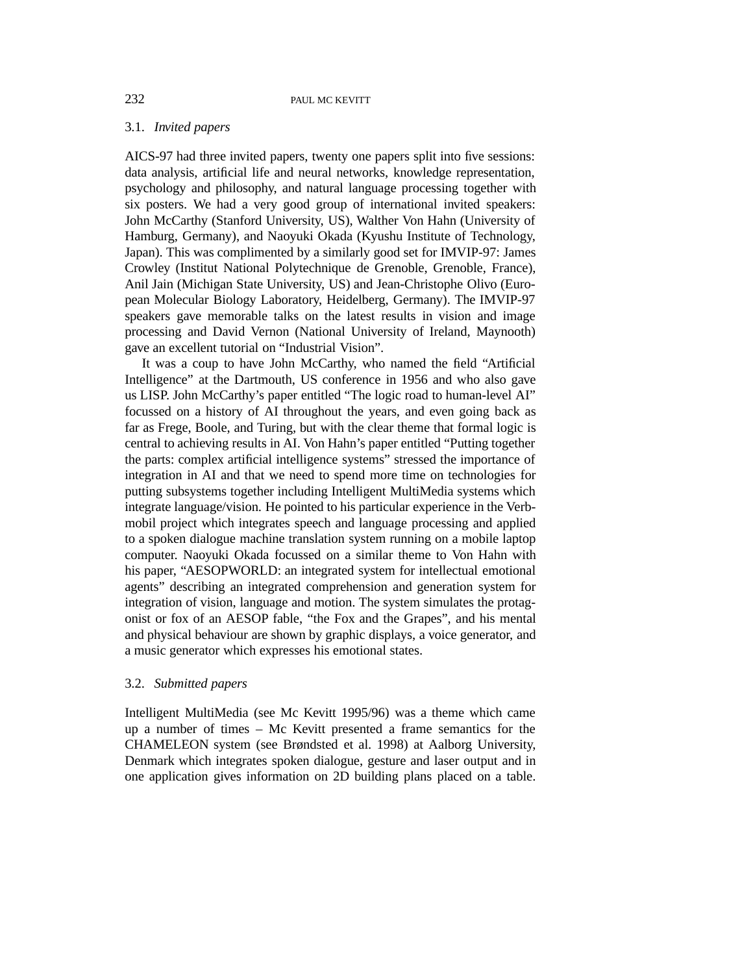#### 3.1. *Invited papers*

AICS-97 had three invited papers, twenty one papers split into five sessions: data analysis, artificial life and neural networks, knowledge representation, psychology and philosophy, and natural language processing together with six posters. We had a very good group of international invited speakers: John McCarthy (Stanford University, US), Walther Von Hahn (University of Hamburg, Germany), and Naoyuki Okada (Kyushu Institute of Technology, Japan). This was complimented by a similarly good set for IMVIP-97: James Crowley (Institut National Polytechnique de Grenoble, Grenoble, France), Anil Jain (Michigan State University, US) and Jean-Christophe Olivo (European Molecular Biology Laboratory, Heidelberg, Germany). The IMVIP-97 speakers gave memorable talks on the latest results in vision and image processing and David Vernon (National University of Ireland, Maynooth) gave an excellent tutorial on "Industrial Vision".

It was a coup to have John McCarthy, who named the field "Artificial Intelligence" at the Dartmouth, US conference in 1956 and who also gave us LISP. John McCarthy's paper entitled "The logic road to human-level AI" focussed on a history of AI throughout the years, and even going back as far as Frege, Boole, and Turing, but with the clear theme that formal logic is central to achieving results in AI. Von Hahn's paper entitled "Putting together the parts: complex artificial intelligence systems" stressed the importance of integration in AI and that we need to spend more time on technologies for putting subsystems together including Intelligent MultiMedia systems which integrate language/vision. He pointed to his particular experience in the Verbmobil project which integrates speech and language processing and applied to a spoken dialogue machine translation system running on a mobile laptop computer. Naoyuki Okada focussed on a similar theme to Von Hahn with his paper, "AESOPWORLD: an integrated system for intellectual emotional agents" describing an integrated comprehension and generation system for integration of vision, language and motion. The system simulates the protagonist or fox of an AESOP fable, "the Fox and the Grapes", and his mental and physical behaviour are shown by graphic displays, a voice generator, and a music generator which expresses his emotional states.

#### 3.2. *Submitted papers*

Intelligent MultiMedia (see Mc Kevitt 1995/96) was a theme which came up a number of times – Mc Kevitt presented a frame semantics for the CHAMELEON system (see Brøndsted et al. 1998) at Aalborg University, Denmark which integrates spoken dialogue, gesture and laser output and in one application gives information on 2D building plans placed on a table.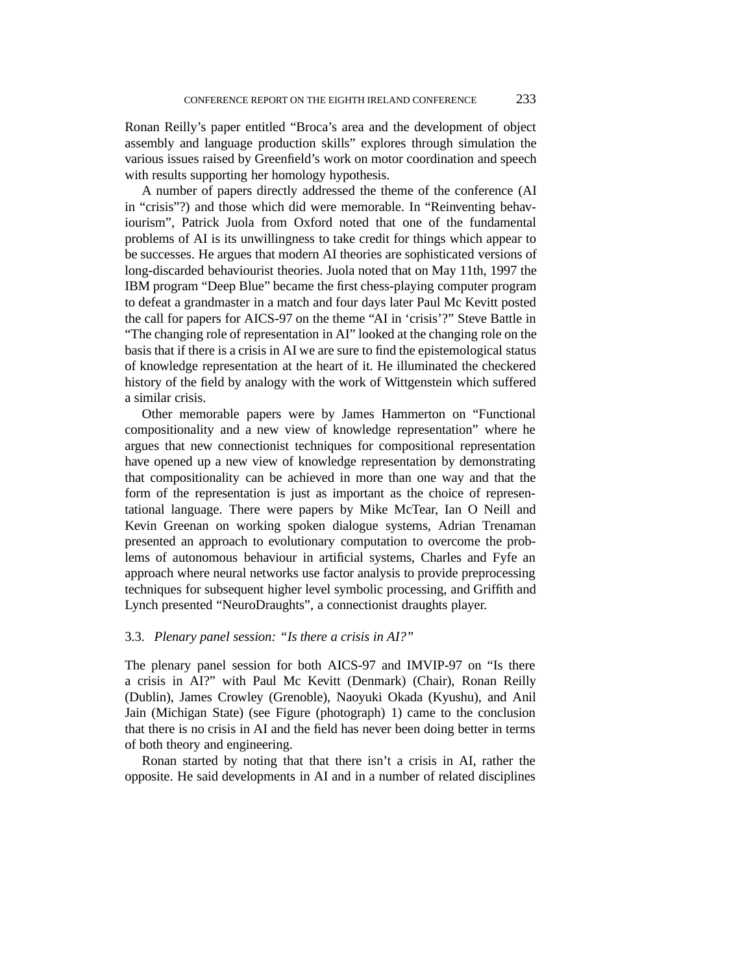Ronan Reilly's paper entitled "Broca's area and the development of object assembly and language production skills" explores through simulation the various issues raised by Greenfield's work on motor coordination and speech with results supporting her homology hypothesis.

A number of papers directly addressed the theme of the conference (AI in "crisis"?) and those which did were memorable. In "Reinventing behaviourism", Patrick Juola from Oxford noted that one of the fundamental problems of AI is its unwillingness to take credit for things which appear to be successes. He argues that modern AI theories are sophisticated versions of long-discarded behaviourist theories. Juola noted that on May 11th, 1997 the IBM program "Deep Blue" became the first chess-playing computer program to defeat a grandmaster in a match and four days later Paul Mc Kevitt posted the call for papers for AICS-97 on the theme "AI in 'crisis'?" Steve Battle in "The changing role of representation in AI" looked at the changing role on the basis that if there is a crisis in AI we are sure to find the epistemological status of knowledge representation at the heart of it. He illuminated the checkered history of the field by analogy with the work of Wittgenstein which suffered a similar crisis.

Other memorable papers were by James Hammerton on "Functional compositionality and a new view of knowledge representation" where he argues that new connectionist techniques for compositional representation have opened up a new view of knowledge representation by demonstrating that compositionality can be achieved in more than one way and that the form of the representation is just as important as the choice of representational language. There were papers by Mike McTear, Ian O Neill and Kevin Greenan on working spoken dialogue systems, Adrian Trenaman presented an approach to evolutionary computation to overcome the problems of autonomous behaviour in artificial systems, Charles and Fyfe an approach where neural networks use factor analysis to provide preprocessing techniques for subsequent higher level symbolic processing, and Griffith and Lynch presented "NeuroDraughts", a connectionist draughts player.

#### 3.3. *Plenary panel session: "Is there a crisis in AI?"*

The plenary panel session for both AICS-97 and IMVIP-97 on "Is there a crisis in AI?" with Paul Mc Kevitt (Denmark) (Chair), Ronan Reilly (Dublin), James Crowley (Grenoble), Naoyuki Okada (Kyushu), and Anil Jain (Michigan State) (see Figure (photograph) 1) came to the conclusion that there is no crisis in AI and the field has never been doing better in terms of both theory and engineering.

Ronan started by noting that that there isn't a crisis in AI, rather the opposite. He said developments in AI and in a number of related disciplines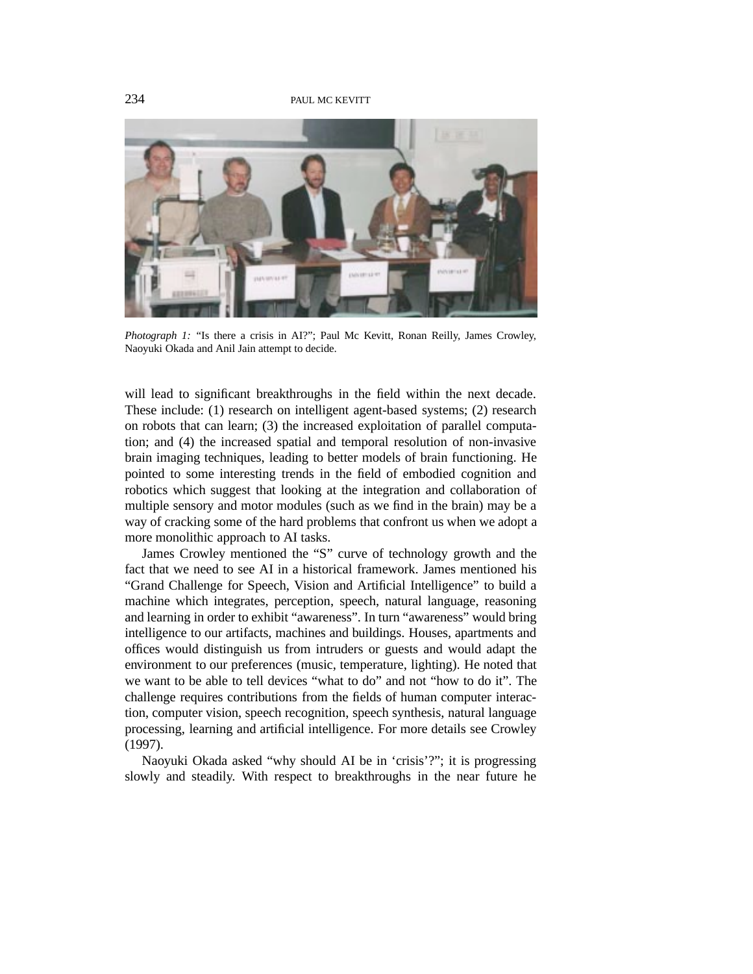234 PAUL MC KEVITT



*Photograph 1:* "Is there a crisis in AI?"; Paul Mc Kevitt, Ronan Reilly, James Crowley, Naoyuki Okada and Anil Jain attempt to decide.

will lead to significant breakthroughs in the field within the next decade. These include: (1) research on intelligent agent-based systems; (2) research on robots that can learn; (3) the increased exploitation of parallel computation; and (4) the increased spatial and temporal resolution of non-invasive brain imaging techniques, leading to better models of brain functioning. He pointed to some interesting trends in the field of embodied cognition and robotics which suggest that looking at the integration and collaboration of multiple sensory and motor modules (such as we find in the brain) may be a way of cracking some of the hard problems that confront us when we adopt a more monolithic approach to AI tasks.

James Crowley mentioned the "S" curve of technology growth and the fact that we need to see AI in a historical framework. James mentioned his "Grand Challenge for Speech, Vision and Artificial Intelligence" to build a machine which integrates, perception, speech, natural language, reasoning and learning in order to exhibit "awareness". In turn "awareness" would bring intelligence to our artifacts, machines and buildings. Houses, apartments and offices would distinguish us from intruders or guests and would adapt the environment to our preferences (music, temperature, lighting). He noted that we want to be able to tell devices "what to do" and not "how to do it". The challenge requires contributions from the fields of human computer interaction, computer vision, speech recognition, speech synthesis, natural language processing, learning and artificial intelligence. For more details see Crowley (1997).

Naoyuki Okada asked "why should AI be in 'crisis'?"; it is progressing slowly and steadily. With respect to breakthroughs in the near future he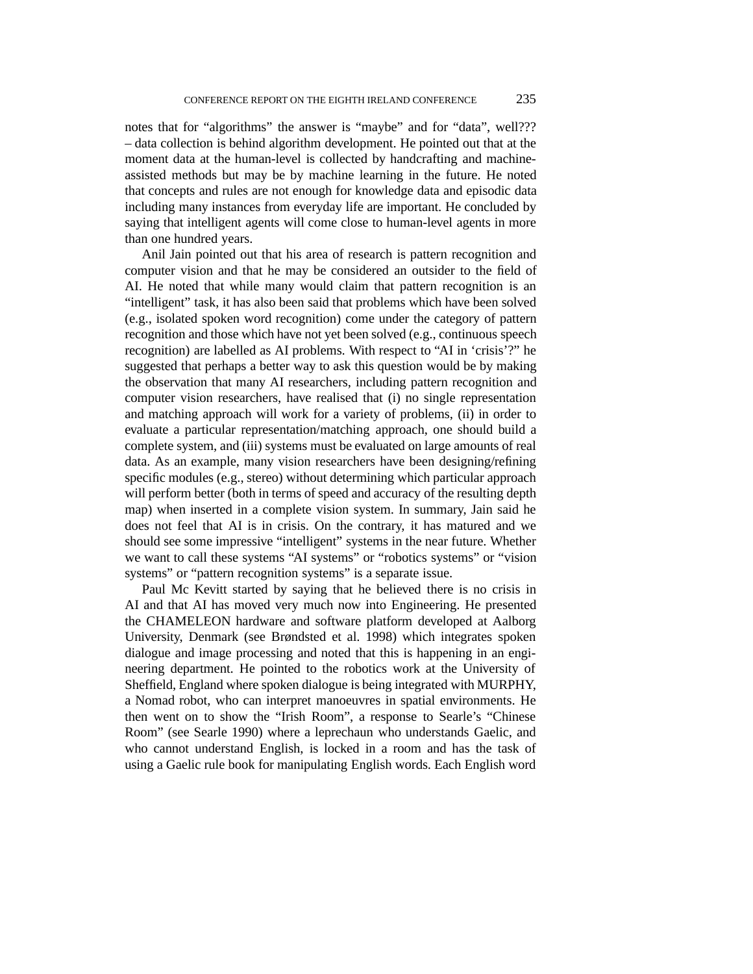notes that for "algorithms" the answer is "maybe" and for "data", well??? – data collection is behind algorithm development. He pointed out that at the moment data at the human-level is collected by handcrafting and machineassisted methods but may be by machine learning in the future. He noted that concepts and rules are not enough for knowledge data and episodic data including many instances from everyday life are important. He concluded by saying that intelligent agents will come close to human-level agents in more than one hundred years.

Anil Jain pointed out that his area of research is pattern recognition and computer vision and that he may be considered an outsider to the field of AI. He noted that while many would claim that pattern recognition is an "intelligent" task, it has also been said that problems which have been solved (e.g., isolated spoken word recognition) come under the category of pattern recognition and those which have not yet been solved (e.g., continuous speech recognition) are labelled as AI problems. With respect to "AI in 'crisis'?" he suggested that perhaps a better way to ask this question would be by making the observation that many AI researchers, including pattern recognition and computer vision researchers, have realised that (i) no single representation and matching approach will work for a variety of problems, (ii) in order to evaluate a particular representation/matching approach, one should build a complete system, and (iii) systems must be evaluated on large amounts of real data. As an example, many vision researchers have been designing/refining specific modules (e.g., stereo) without determining which particular approach will perform better (both in terms of speed and accuracy of the resulting depth map) when inserted in a complete vision system. In summary, Jain said he does not feel that AI is in crisis. On the contrary, it has matured and we should see some impressive "intelligent" systems in the near future. Whether we want to call these systems "AI systems" or "robotics systems" or "vision systems" or "pattern recognition systems" is a separate issue.

Paul Mc Kevitt started by saying that he believed there is no crisis in AI and that AI has moved very much now into Engineering. He presented the CHAMELEON hardware and software platform developed at Aalborg University, Denmark (see Brøndsted et al. 1998) which integrates spoken dialogue and image processing and noted that this is happening in an engineering department. He pointed to the robotics work at the University of Sheffield, England where spoken dialogue is being integrated with MURPHY, a Nomad robot, who can interpret manoeuvres in spatial environments. He then went on to show the "Irish Room", a response to Searle's "Chinese Room" (see Searle 1990) where a leprechaun who understands Gaelic, and who cannot understand English, is locked in a room and has the task of using a Gaelic rule book for manipulating English words. Each English word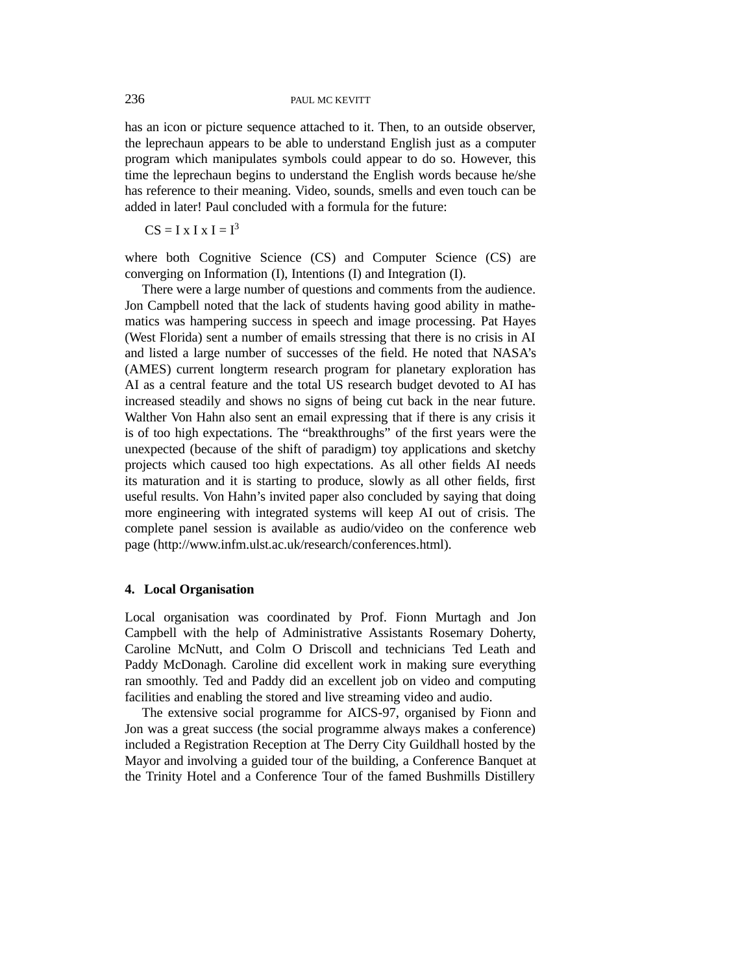has an icon or picture sequence attached to it. Then, to an outside observer, the leprechaun appears to be able to understand English just as a computer program which manipulates symbols could appear to do so. However, this time the leprechaun begins to understand the English words because he/she has reference to their meaning. Video, sounds, smells and even touch can be added in later! Paul concluded with a formula for the future:

 $CS = I \times I \times I = I^3$ 

where both Cognitive Science (CS) and Computer Science (CS) are converging on Information (I), Intentions (I) and Integration (I).

There were a large number of questions and comments from the audience. Jon Campbell noted that the lack of students having good ability in mathematics was hampering success in speech and image processing. Pat Hayes (West Florida) sent a number of emails stressing that there is no crisis in AI and listed a large number of successes of the field. He noted that NASA's (AMES) current longterm research program for planetary exploration has AI as a central feature and the total US research budget devoted to AI has increased steadily and shows no signs of being cut back in the near future. Walther Von Hahn also sent an email expressing that if there is any crisis it is of too high expectations. The "breakthroughs" of the first years were the unexpected (because of the shift of paradigm) toy applications and sketchy projects which caused too high expectations. As all other fields AI needs its maturation and it is starting to produce, slowly as all other fields, first useful results. Von Hahn's invited paper also concluded by saying that doing more engineering with integrated systems will keep AI out of crisis. The complete panel session is available as audio/video on the conference web page (http://www.infm.ulst.ac.uk/research/conferences.html).

### **4. Local Organisation**

Local organisation was coordinated by Prof. Fionn Murtagh and Jon Campbell with the help of Administrative Assistants Rosemary Doherty, Caroline McNutt, and Colm O Driscoll and technicians Ted Leath and Paddy McDonagh. Caroline did excellent work in making sure everything ran smoothly. Ted and Paddy did an excellent job on video and computing facilities and enabling the stored and live streaming video and audio.

The extensive social programme for AICS-97, organised by Fionn and Jon was a great success (the social programme always makes a conference) included a Registration Reception at The Derry City Guildhall hosted by the Mayor and involving a guided tour of the building, a Conference Banquet at the Trinity Hotel and a Conference Tour of the famed Bushmills Distillery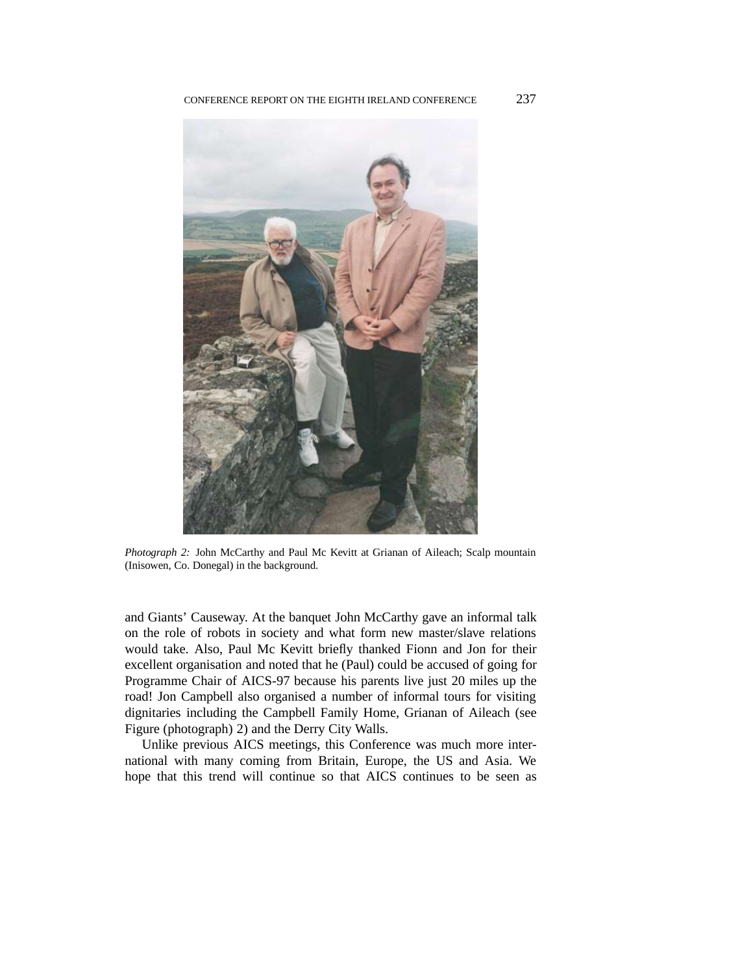

*Photograph 2:* John McCarthy and Paul Mc Kevitt at Grianan of Aileach; Scalp mountain (Inisowen, Co. Donegal) in the background.

and Giants' Causeway. At the banquet John McCarthy gave an informal talk on the role of robots in society and what form new master/slave relations would take. Also, Paul Mc Kevitt briefly thanked Fionn and Jon for their excellent organisation and noted that he (Paul) could be accused of going for Programme Chair of AICS-97 because his parents live just 20 miles up the road! Jon Campbell also organised a number of informal tours for visiting dignitaries including the Campbell Family Home, Grianan of Aileach (see Figure (photograph) 2) and the Derry City Walls.

Unlike previous AICS meetings, this Conference was much more international with many coming from Britain, Europe, the US and Asia. We hope that this trend will continue so that AICS continues to be seen as